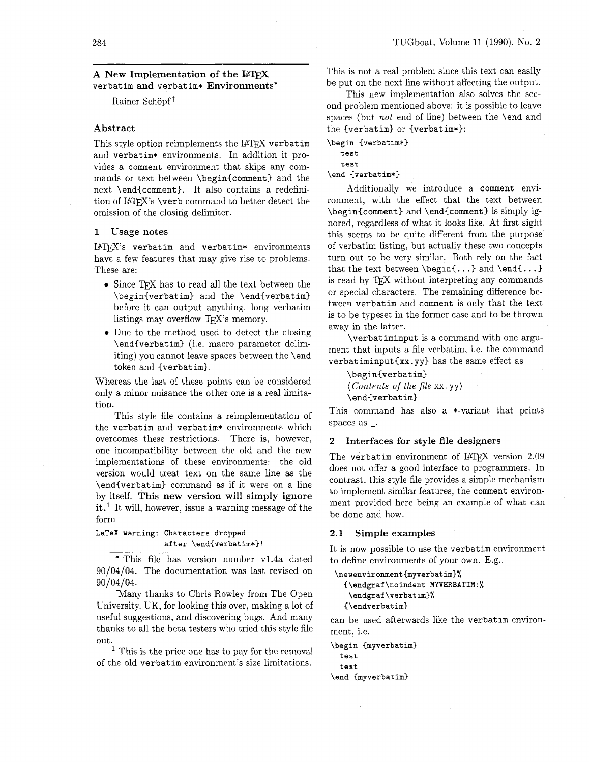# 284<br>A New Implementation of the L<sup>a</sup>T<sub>E</sub>X verbatim and verbatim\* Environments\*

Rainer Schöpf<sup>†</sup>

### Abstract

This style option reimplements the IATEX verbatim and verbatim\* environments. In addition it provides a comment environment that skips any commands or text between \begin{comment) and the next \end{comment). It also contains a redefinition of IATFX's \verb command to better detect the omission of the closing delimiter.

### 1 Usage notes

 $IATFX$ 's verbatim and verbatim\* environments have a few features that may give rise to problems. These are:

- Since TFX has to read all the text between the \begin{verbatim) and the \end{verbatiml before it can output anything, long verbatim listings may overflow TFX's memory.
- 0 Due to the method used to detect the closing \end{verbatim) (i.e. macro parameter delimiting) you cannot leave spaces between the \end token and {verbatim).

Whereas the last of these points can be considered only a minor nuisance the other one is a real limitation.

This style file contains a reimplementation of the verbatim and verbatim\* environments which overcomes these restrictions. There is, however, one incompatibility between the old and the new implementations of these environments: the old version would treat text on the same line as the \end{verbatim} command as if it were on a line by itself. This new version will simply ignore it.<sup>1</sup> It will, however, issue a warning message of the form

### LaTeX warning: Characters dropped after \end{verbatlm\*)!

\* This file has version number v1.4a dated 90/04/04. The documentation was last revised on 90/04/04.

!Many thanks to Chris Rowley from The Open University, UK, for looking this over, making a lot of useful suggestions, and discovering bugs. And many thanks to all the beta testers who tried this style file out.

 $<sup>1</sup>$  This is the price one has to pay for the removal</sup> of the old verbatim environment's size limitations.

This is not a real problem since this text can easily be put on the next line without affecting the output.

This new implementation also solves the second problem mentioned above: it is possible to leave spaces (but *not* end of line) between the \end and the {verbatim) or {verbatim\*):

\begin {verbatim\*}

test test

\end {verbatim\*}

Additionally we introduce a comment environment, with the effect that the text between \begin{comment) and \end{comment) is simply ignored, regardless of what it looks like. At first sight this seems to be quite different from the purpose of verbatim listing. but actually these two concepts turn out to be very similar. Both rely on the fact that the text between  $\begin{bmatrix} . . . \end{bmatrix}$  and  $\end{bmatrix}$ is read by TEX without interpreting any commands or special characters. The remaining difference between verbatim and comment is only that the text is to be typeset in the former case and to be thrown away in the latter.

\verbat iminput is a command with one argument that inputs a file verbatim, i.e. the command verbat iminput $\{xx. yy\}$  has the same effect as

\begin{verbatim) *(Contents of the file*  $xx. yy$ *)* \end{verbat im)

This command has also a \*-variant that prints spaces as  $\mathbf{L}$ .

### **2** Interfaces for style file designers

The verbatim environment of IATFX version 2.09 does not offer a good interface to programmers. In contrast, this style file provides a simple mechanism to implement similar features, the comment environment provided here being an example of what can be done and how.

### 2.1 Simple examples

It is now possible to use the verbatim environment to define environments of your own. E.g.,

```
\newenvironment{myverbatim}%
  {\endgraf\noindent MYVERBATIM:%
   \endgraf\verbatim}%
  \{\end{verbatim}\}
```
can be used afterwards like the verbatim environment, i.e.

```
\begin {myverbatim} 
  test 
  test 
\end Cmyverbatim)
```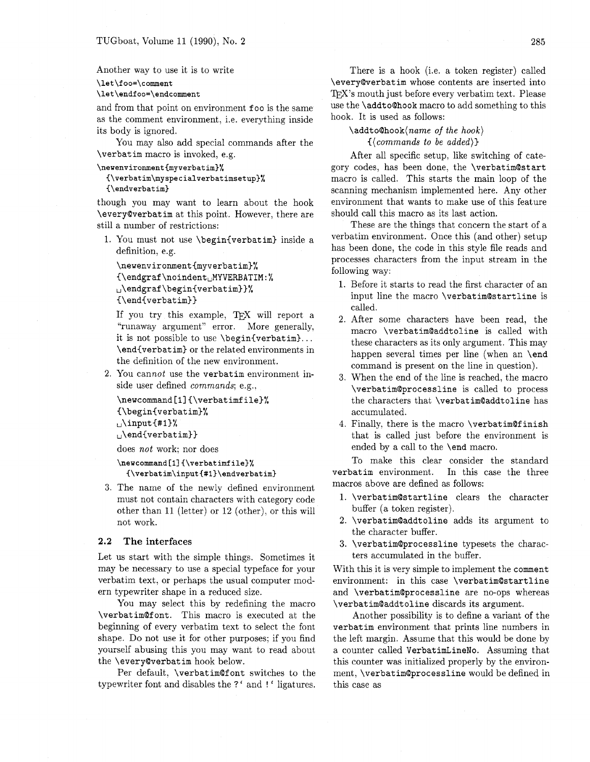### Another way to use it is to write

### \let\foo=\comment

### \let\endfoo=\endcomment

and from that point on environment foo is the same as the comment environment, i.e. everything inside its body is ignored.

You may also add special commands after the **\verbatim** macro is invoked, e.g.

```
\newenvironment{myverbatim)% 
  ~\verbatim\myspecialverbatimsetup)% 
  {\endverbat im)
```
though you may want to learn about the hook **\everyQverbatim** at this point. However, there are still a number of restrictions:

1. You must not use **\begin(verbatim)** inside a definition, e.g.

```
\newenvironment(myverbatim3% 
I\endgraf\noindentuMYVERBATIM:% 
,,\endgraf\begin{verbatim))% 
(\end(verbatim))
```

```
If you try this example, Tr[X] will report a
"runaway argument" error. More generally, 
it is not possible to use \begin(verbatim). . . 
\end(verbatim) or the related environments in 
the definition of the new environment.
```
**2.** You cannot use the **verbatim** environment inside user defined **commands:** e.g..

```
\newcommand [ll (\verbatimfile)% 
(\begin(verbatim)% 
,,\input (#I)% 
,,\endCverbatirn))
```
does not work; nor does

```
\newcommand[1] (\verbatimfile)% 
  {\verbatim\input(#l)\endverbatim)
```
**3.** The name of the newly defined environment must not contain characters with category code other than **11** (letter) or **12** (other), or this will not work.

### **2.2 The interfaces**

Let us start with the simple things. Sometimes it may be necessary to use a special typeface for your verbatim text, or perhaps the usual computer modern typewriter shape in a reduced size.

You may select this by redefining the macro **\verbatimQfont.** This macro is executed at the beginning of every verbatim text to select the font shape. Do not use it for other purposes; if you find yourself abusing this you may want to read about the **\everyQverbatim** hook below.

Per default. **\verbatimQf ont** switches to the typewriter font and disables the ?' and ! ' ligatures.

There is a hook (i.e. a token register) called **\everyQverbatim** whose contents are inserted into TFX's mouth just before every verbatim text. Please use the **\addtoQhook** macro to add something to this hook. It is used as follows:

**\addtoQhook(name** of **the hook)** 

**((commands to be added))** 

After all specific setup. like switching of category codes, has been done, the **\verbatim@start**  macro is called. This starts the main loop of the scanning mechanism implemented here. Any other environment that wants to make use of this feature should call this macro as its last action.

These are the things that concern the start of a verbatim environment. Once this (and other) setup has been done, the code in this style file reads and processes characters from the input stream in the following way:

- 1. Before it starts to read the first character of an input line the macro **\verbatimQstartline** is called.
- **2.** After some characters have been read, the macro **\verbatimQaddtoline** is called with these characters as its only argument. This may happen several times per line (when an **\end** command is present on the line in question).
- **3.** When the end of the line is reached, the macro **\verbat imQprocessline** is called to process the characters that **\verbatimQaddtoline** has accumulated.
- **4.** Finally, there is the macro **\verbatimQf inish**  that is called just before the environment is ended by a call to the **\end** macro.

To make this clear consider the standard **verbatim** environment. In this case the three macros above are defined as follows:

- **1. \verbatimQstartline** clears the character buffer (a token register).
- **2. \verbat imQaddt oline** adds its argument to the character buffer.
- **3. \verbatimQprocessline** typesets the characters accumulated in the buffer.

With this it is very simple to implement the **comment**  environment: in this case **\verbatimQstartline**  and **\verbatim@processline** are no-ops whereas **\verbatim@addtoline** discards its argument.

Another possibility is to define a variant of the **verbatim** environment that prints line numbers in the left margin. Assume that this would be done by a counter called **VerbatimLineNo.** Assuming that this counter was initialized properly by the environment, **\verbatimQprocessline** would be defined in this case as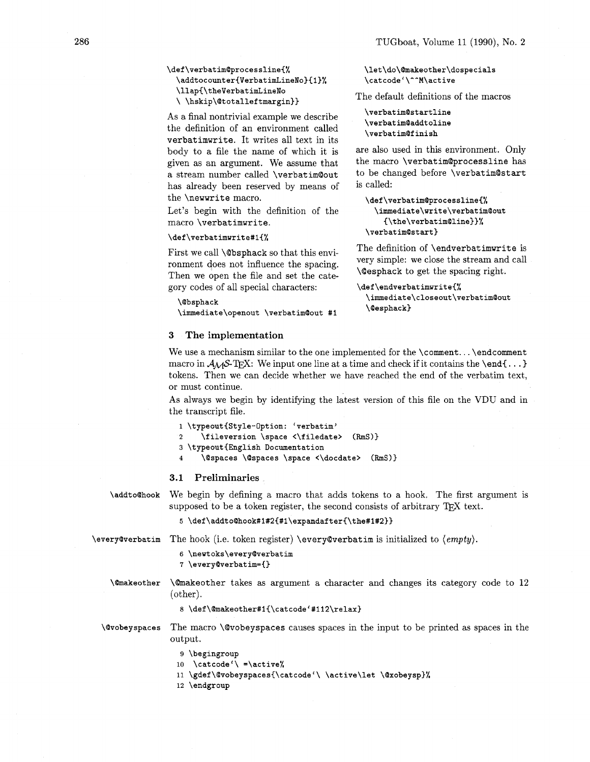### \def\verbatim@processline{% \addtocounter{VerbatimLineNo}{1}% \llap{\theVerbatimLineNo \\hskip\@totalleftmargin}}

As a final nontrivial example we describe the definition of an environment called **verbatimwrite.** It writes all text in its body to a file the name of which it is given as an argument. We assume that a stream number called **\verbatimQout**  has already been reserved by means of the **\newwrite** macro.

Let's begin with the definition of the macro **\verbat imwrite.** 

### \def\verbatimwrite#1{%

First we call **\Qbsphack** so that this environment does not influence the spacing. Then we open the file and set the category codes of all special characters:

## *\@bsphack*

\immediate\openout \verbatim@out #1

### **3 The implementation**

\let\do\@makeother\dospecials \catcode'\^^M\active

The default definitions of the macros

\verbatim@startline \verbatim@addtoline \verbatim@finish

are also used in this environment. Only the macro **\verbat imQprocessline** has to be changed before **\verbatimQstart**  is called:

```
\def\verbatim@processline{%
 \immediate\write\verbatim@out
    {\the\verbatim@line}}%
\verbatim@start}
```
The definition of **\endverbatimwrite** is very simple: we close the stream and call **\Qesphack** to get the spacing right.

```
\def\endverbatimwrite{%
  \immediate\closeout\verbatim@out
  \@esphack}
```
We use a mechanism similar to the one implemented for the **\comment... \endcomment** macro in  $A_MS$ -T<sub>E</sub>X: We input one line at a time and check if it contains the **\end{...**} tokens. Then we can decide whether we have reached the end of the verbatim text, or must continue.

As always we begin by identifying the latest version of this file on the VDU and in the transcript file.

```
1 \typeoutCStyle-Option: 'verbatim' 
2 \f ileversion \space <\f iledate> (RmS)} 
3 \typeout{English Documentation
```

```
4 \@spaces \@spaces \space <\docdate> (RmS))
```
### **3.1 Preliminaries**

\addto@hook We begin by defining a macro that adds tokens to a hook. The first argument is supposed to be a token register, the second consists of arbitrary TEX text.

**5 \def\addto@hook#l#2{#l\expandafter{\the#1#2l}** 

**\every@verbatim** The hook (i.e. token register) **\every@verbatim** is initialized to  $\langle empty\rangle$ .

```
6 \neutoks\every@verbatim 
7 \every@verbatim={}
```
**\@makeother** takes as argument a character and changes its category code to 12 (other).

```
8 \def\@makeother#1{\catcode'#112\relax}
```
*\@vobeyspaces* The macro **\Qvobeyspaces** causes spaces in the input to be printed as spaces in the output.

> 9 \begingroup 10 \catcode'\ =\active% 11 \gdef\@vobeyspaces{\catcode'\ \active\let \@xobeysp}% 12 \endgroup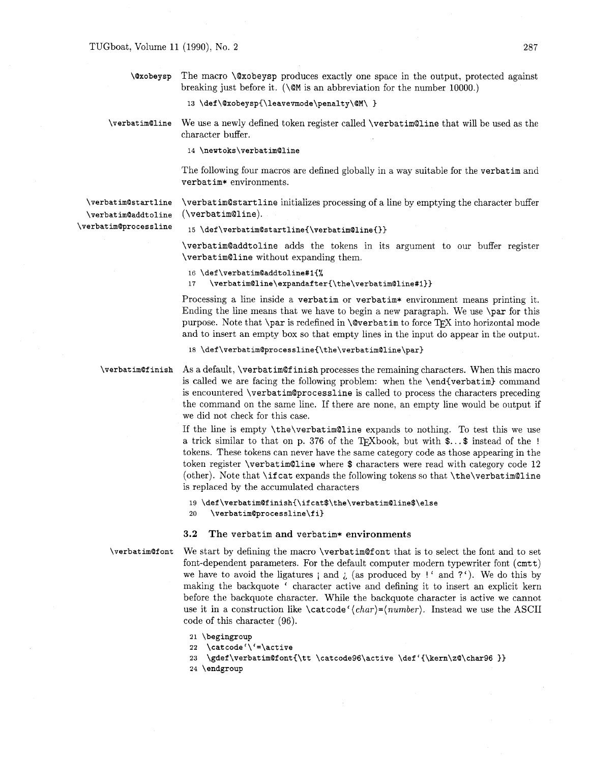\@xobeysp The macro \Qxobeysp produces exactly one space in the output, protected against breaking just before it. **(\QM** is an abbreviation for the number 10000.)

13 \def\@xobeysp{\leavevmode\penalty\@M\ }

\verbatim@line We use a newly defined token register called \verbatim@line that will be used as the character buffer.

14 \newtoks\verbatim@line

The following four macros are defined globally in a way suitable for the verbatim and verbatim\* environments.

**\verbatim@startline \verbat imQaddt oline \verbatimQprocessline**  \verbatimQstartline initializes processing of a line by emptying the character buffer (\verbat im@line).

15 \def\verbatim@startline{\verbatim@line{}}

\verbatimQaddtoline adds the tokens in its argument to our buffer register \verbatimQline without expanding them.

### 16 **\def \verbatimQaddtoline#l(%**

**17 \verbatimQline\expandafter{\the\verbatimQline#l)}** 

Processing a line inside a verbatim or verbatim\* environment means printing it. Ending the line means that we have to begin a new paragraph. We use \par for this purpose. Note that  $\parbox{1.0ex}{\text{perb}}$  in  $\@Ver$  batim to force TFX into horizontal mode and to insert an empty box so that empty lines in the input do appear in the output.

18 \def\verbatim@processline{\the\verbatim@line\par}

**\verbat imQf inish**  As a default, \verbatimQf inish processes the remaining characters. When this macro is called we are facing the following problem: when the \end{verbatim) command is encountered \verbatimQprocessline is called to process the characters preceding the command on the same line. If there are none, an empty line would be output if we did not check for this case.

> If the line is empty \the\verbatimQline expands to nothing. To test this we use a trick similar to that on p. 376 of the T<sub>F</sub>Xbook, but with  $\mathsf{\$...}\mathsf{\$}$  instead of the ! tokens. These tokens can never have the same category code as those appearing in the token register \verbatimQline where \$ characters were read with category code 12 (other). Note that \if cat expands the following tokens so that \the\verbatim@line is replaced by the accumulated characters

### **19 \def\verbatimQfinish{\ifcat\$\the\verbatimQline\$\else**  20 **\verbatim@processline\fi}**

### **3.2** The verbatim and verbatim\* environments

**\verbat imQf ont** 

We start by defining the macro \verbatimQf ont that is to select the font and to set font-dependent parameters. For the default computer modern typewriter font (cmtt) we have to avoid the ligatures  $\mathbf{i}$  and  $\mathbf{j}$  (as produced by !' and ?'). We do this by making the backquote ' character active and defining it to insert an explicit kern before the backquote character. While the backquote character is active we cannot use it in a construction like \cat code ' *(char)=(number).* Instead we use the ASCII code of this character (96).

```
21 \begingroup
```

```
22 \catcode '\'=\active
```
23 \gdef\verbatim@font{\tt \catcode96\active \def'{\kern\z@\char96 }}

24 \endgroup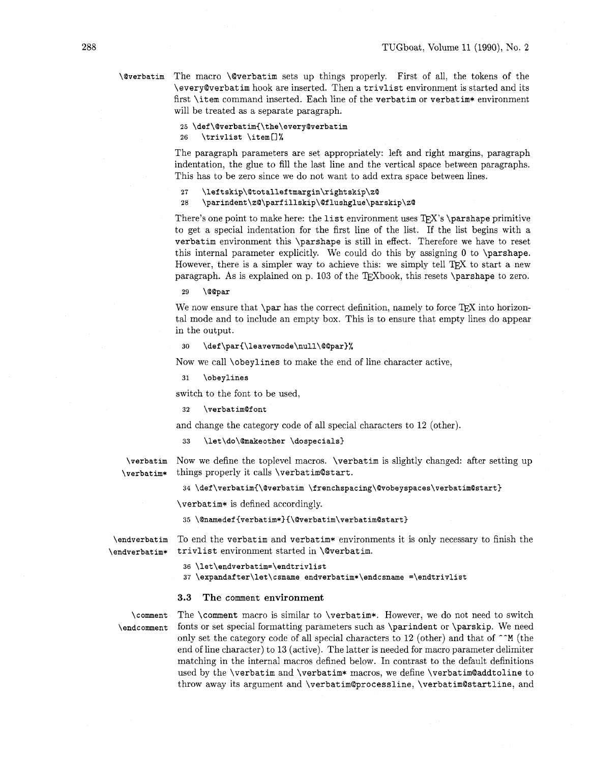\@verbatim The macro \@verbatim sets up things properly. First of all, the tokens of the \everyQverbatim hook are inserted. Then a trivlist environment is started and its first \item command inserted. Each line of the verbatim or verbatim\* environment will be treated as a separate paragraph.

```
25 \def\@verbatim{\the\every@verbatim
```
26 \trivlist \item[]%

The paragraph parameters are set appropriately: left and right margins, paragraph indentation, the glue to fill the last line and the vertical space between paragraphs. This has to be zero since we do not want to add extra space between lines.

```
27
    \leftskip\@totalleftmargin\rightskip\z@
```
### \parindent\z@\parfillskip\@flushglue\parskip\z@ 28

There's one point to make here: the list environment uses  $TFX$ 's \parshape primitive to get a special indentation for the first line of the list. If the list begins with a verbatim environment this \parshape is still in effect. Therefore we have to reset this internal parameter explicitly. We could do this by assigning 0 to \parshape. However, there is a simpler way to achieve this: we simply tell  $TFX$  to start a new paragraph. As is explained on p. 103 of the TEXbook, this resets \parshape to zero.

\@@par 29

We now ensure that  $\partial$  has the correct definition, namely to force T<sub>R</sub>X into horizontal mode and to include an empty box. This is to ensure that empty lines do appear in the output.

```
30 \def \par{\leavevmode\null\Qmpar}%
```
Now we call \obeylines to make the end of line character active,

```
\obeylines
31
```
switch to the font to be used,

### **32** \verbat imQf ont

and change the category code of all special characters to 12 (other).

#### \let\do\@makeother \dospecials} 33

\verbatim Now we define the toplevel macros. \verbatim is slightly changed: after setting up

\verbatim\* things properly it calls \verbatim@start.

### 34 \def\verbatim{\@verbatim \frenchspacing\@vobeyspaces\verbatim@start}

\verbatim\* is defined accordingly.

35 \@namedef{verbatim\*}{\@verbatim\verbatim@start}

\endverbatim To end the verbatim and verbatim\* environments it is only necessary to finish the \endverbatim\* trivlist environment started in \@verbatim.

36 \let\endverbatim=\endtrivlist

```
37 \expandafter\let\csname endverbatim*\endcsname =\endtrivlist
```
### 3.3 The comment environment

\comment The \comment macro is similar to \verbatim\*. However, we do not need to switch \endcomment fonts or set special formatting parameters such as \parindent or \parskip. We need only set the category code of all special characters to 12 (other) and that of **^-M** (the end of line character) to 13 (active). The latter is needed for macro parameter delimiter matching in the internal macros defined below. In contrast to the default definitions used by the \verbatim and \verbatim\* macros, we define \verbatim@addtoline to throw away its argument and \verbatim@processline, \verbatim@startline, and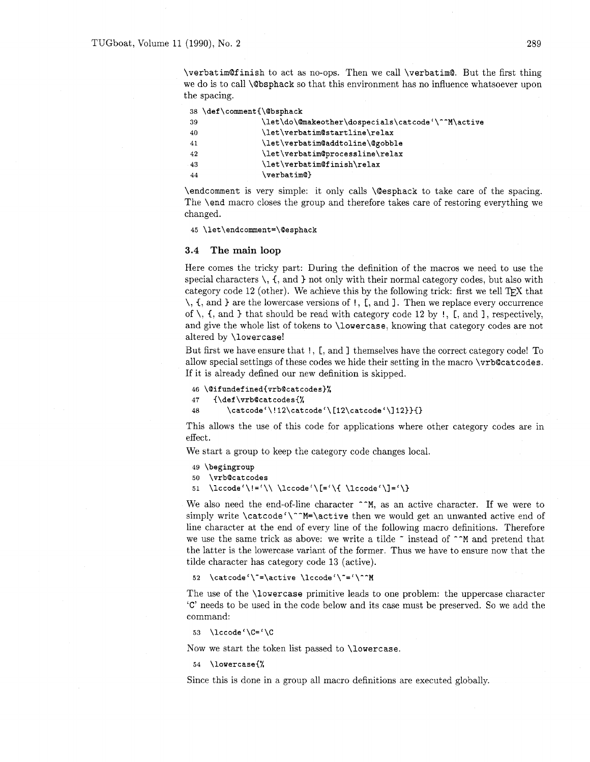\verbatimQfinish to act as no-ops. Then we call \verbatim@. But the first thing we do is to call \Qbsphack so that this environment has no influence whatsoever upon the spacing.

|     | 38 \def\comment{\@bsphack                         |
|-----|---------------------------------------------------|
| -39 | \let\do\@makeother\dospecials\catcode'\^^M\active |
| 40  | \let\verbatim@startline\relax                     |
| 41  | \let\verbatim@addtoline\@gobble                   |
| 42  | \let\verbatim@processline\relax                   |
| -43 | \let\verbatim@finish\relax                        |
| 44  | $\verb \verbatim@ $                               |

\endcomment is very simple: it only calls \@esphack to take care of the spacing. The \end macro closes the group and therefore takes care of restoring everything we changed.

45 \let\endcomment=\@esphack

### **3.4 The main loop**

Here comes the tricky part: During the definition of the macros we need to use the special characters  $\setminus$ ,  $\setminus$ , and  $\rbrace$  not only with their normal category codes, but also with category code 12 (other). We achieve this by the following trick: first we tell  $TFX$  that  $\setminus$ ,  $\mathcal{L}$ , and  $\mathcal{L}$  are the lowercase versions of !,  $\mathcal{L}$ , and  $\mathcal{L}$ . Then we replace every occurrence of  $\setminus$ ,  $\{$ , and  $\}$  that should be read with category code 12 by !,  $\left[$ , and  $\right]$ , respectively, and give the whole list of tokens to \lowercase, knowing that category codes are not altered by \lowercase!

But first we have ensure that !, [, and ] themselves have the correct category code! To allow special settings of these codes we hide their setting in the macro \vrb@catcodes. If it is already defined our new definition is skipped.

```
46 \@ifundefined{vrb@catcodes}%
47
    {\def\vrb@catcodes{%
        \catcode'\!12\catcode'\[12\catcode'\]12}}{}
48
```
This allows the use of this code for applications where other category codes are in effect.

We start a group to keep the category code changes local.

```
49 \begingroup
```

```
\vrb@catcodes
50
```
51 \lccode'\!='\\ \lccode'\[='\{ \lccode'\]='\}

We also need the end-of-line character  $\hat{ }$   $\hat{ }$  M, as an active character. If we were to simply write  $\catcode'$ <sup>--M=</sup>\active then we would get an unwanted active end of line character at the end of every line of the following macro definitions. Therefore we use the same trick as above: we write a tilde  $\tilde{ }$  instead of  $\tilde{ }$   $\tilde{ }$ M and pretend that the latter is the lowercase variant of the former. Thus we have to ensure now that the tilde character has category code 13 (active).

```
\catcode'\"=\active \lccode'\"='\"^M
52
```
The use of the \lowercase primitive leads to one problem: the uppercase character **'C'** needs to be used in the code below and its case must be preserved. So we add the command:

```
53 \lccode'\C='\C
```
Now we start the token list passed to \lowercase.

**54 \lowercase{%** 

Since this is done in a group all macro definitions are executed globally.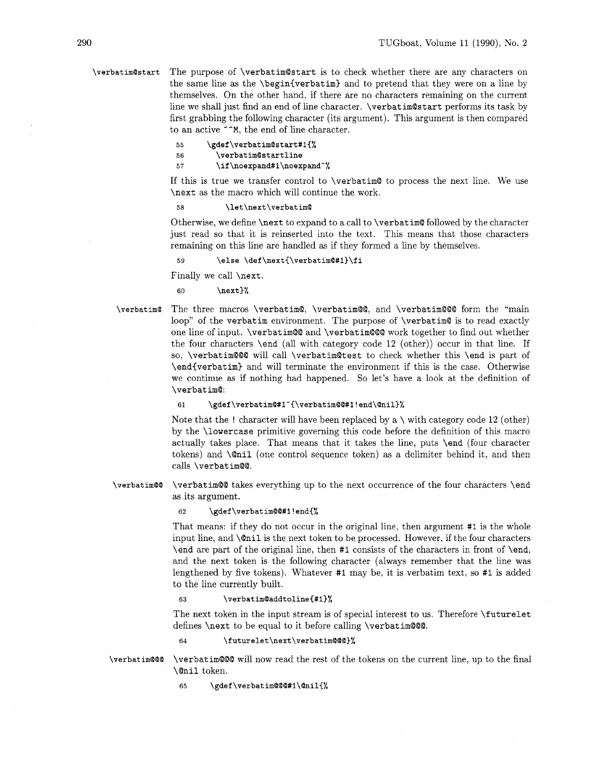**\verbatim@start** The purpose of \verbatim@start is to check whether there are any characters on the same line as the \begin{verbatim) and to pretend that they were on a line by themselves. On the other hand, if there are no characters remaining on the current line we shall just find an end of line character. \verbatim@start performs its task by first grabbing the following character (its argument). This argument is then compared to an active  $\cap$ <sup>M</sup>, the end of line character.

#### 55 \gdef\verbatim@start#1{%

\verbatim@startline 56

57 \if\noexpand#1\noexpand~%

If this is true we transfer control to \verbatim@ to process the next line. We use \next as the macro which will continue the work.

**58 \let\next \verbat imQ** 

Otherwise, we define \next to expand to a call to \verbatim@ followed by the character just read so that it is reinserted into the text. This means that those characters remaining on this line are handled as if they formed a line by themselves.

\else \def\next{\verbatim@#1}\fi  $59$ 

Finally we call \next.

60 **\next}%** 

**\verbatim@** The three macros \verbatim@, \verbatim@@; and \verbatim@@@ form the "main loop" of the verbatim environment. The purpose of \verbatim@ is to read exactly one line of input. \verbatim@@ and \verbatim@@@ work together to find out whether the four characters \end (all with category code 12 (other)) occur in that line. If so, \verbatim@@@ will call \verbatim@test to check whether this \end is part of \end{verbatim) and will terminate the environment if this is the case. Otherwise we continue as if nothing had happened. So let's have a look at the definition of \verbatim@:

61 **\gdef\verbatim@#l-(\verbatim@@#l!end\@nil}%** 

Note that the ! character will have been replaced by a  $\backslash$  with category code 12 (other) by the \lowercase primitive governing this code before the definition of this macro actually takes place. That means that it takes the line, puts \end (four character tokens) and \@nil (one control sequence token) as a delimiter behind it, and then calls \verbat im@@.

**\verbatim@@** \verbatim@@ takes everything up to the next occurrence of the four characters \end as its argument.

### **62 \gdef\verbatim@@#l!endC%**

That means: if they do not occur in the original line, then argument #1 is the whole input line, and \@nil is the next token to be processed. However, if the four characters \end are part of the original line, then **#1** consists of the characters in front of \end, and the next token is the following character (always remember that the line was lengthened by five tokens). Whatever #I may be, it is verbatim text, so **#1** is added to the line currently built.

#### \verbatim@addtoline{#1}% 63

The next token in the input stream is of special interest to us. Therefore **\f** uturelet defines \next to be equal to it before calling \verbatim@@@.

### \futurelet\next\verbatim@@@}% 64

**\verbatim@@@** \verbatim@@@ will now read the rest of the tokens on the current line, up to the final \@nil token.

**65 \gdef \verbatim@@@#l\@nil{%**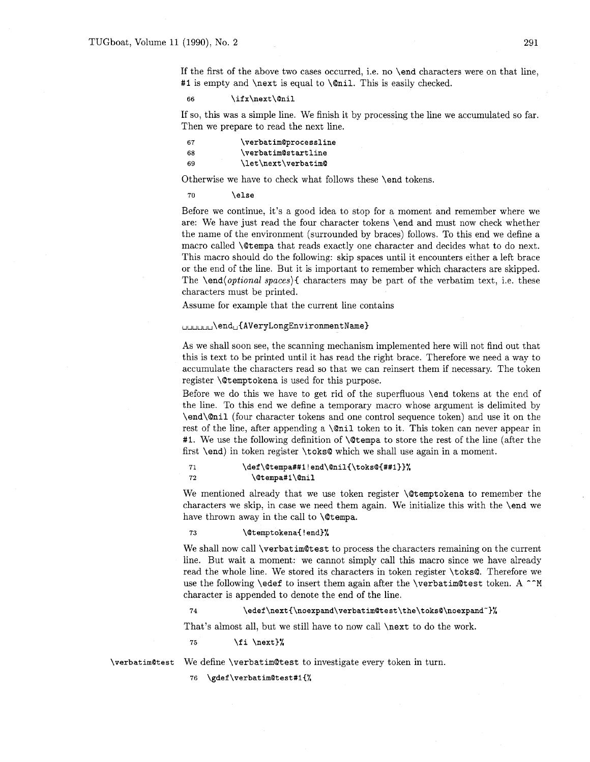If the first of the above two cases occurred, i.e. no \end characters were on that line, **#1** is empty and \next is equal to \@nil. This is easily checked.

\ifx\next\@nil 66

If so, this was a simple line. We finish it by processing the line we accumulated so far. Then we prepare to read the next line.

| 67 | \verbatim@processline |  |
|----|-----------------------|--|
| 68 | \verbatim@startline   |  |
| 69 | \let\next\verbatim@   |  |

Otherwise we have to check what follows these \end tokens.

 $70$ \else

Before we continue, it's a good idea to stop for a moment and remember where we are: We have just read the four character tokens \end and must now check whether the name of the environment (surrounded by braces) follows. To this end we define a macro called \@ternpa that reads exactly one character and decides what to do next. This macro should do the following: skip spaces until it encounters either a left brace or the end of the line. But it is important to remember which characters are skipped. The \end(optional *spaces){* characters may be part of the verbatim text, i.e, these characters must be printed.

Assume for example that the current line contains

### UUUUUU\endu{AVeryLongEnvironmentName}

As we shall soon see, the scanning mechanism implemented here will not find out that this is text to be printed until it has read the right brace. Therefore we need a way to accumulate the characters read so that we can reinsert them if necessary. The token register **\@temptokena** is used for this purpose.

Before we do this we have to get rid of the superfluous \end tokens at the end of the line. To this end we define a temporary macro whose argument is delimited by \end\@nil (four character tokens and one control sequence token) and use it on the rest of the line, after appending a  $\mathcal{C}$  leads to it. This token can never appear in #1. We use the following definition of **\@tempa** to store the rest of the line (after the first \end) in token register \toks@ which we shall use again in a moment.

#### $71$ \def\@tempa##1!end\@nil{\toks@{##1}}% 72 \@tempa#1\@nil

We mentioned already that we use token register **\@temptokena** to remember the characters we skip, in case we need them again. We initialize this with the \end we have thrown away in the call to  $\Diamond$  tempa.

#### 73 \@temptokena{!end}%

We shall now call \verbatim@test to process the characters remaining on the current line. But wait a moment: we cannot simply call this macro since we have already read the whole line. We stored its characters in token register \toks@. Therefore we use the following \edef to insert them again after the \verbatim@test token. A  $\hat{}$ M character is appended to denote the end of the line.

#### 74 \edef\next{\noexpand\verbatim@test\the\toks@\noexpand~}%

That's almost all, but we still have to now call \next to do the work.

**75 \fi \next)%** 

**\verbatim@test** We define \verbatim@test to investigate every token in turn.

76 \gdef\verbatim@test#1{%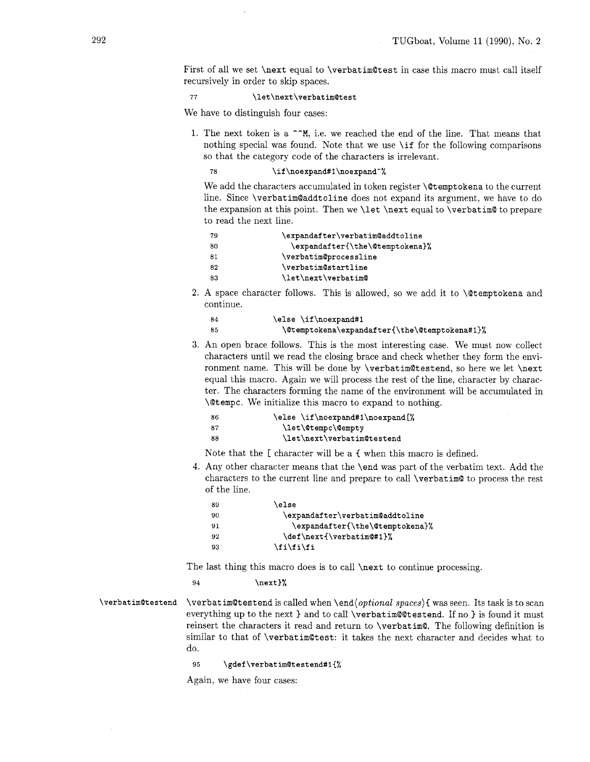First of all we set **\next** equal to **\verbatim@test** in case this macro must call itself recursively in order to skip spaces.

77 \let\next\verbatim@test

We have to distinguish four cases:

1. The next token is a **--M,** i.e. we reached the end of the line. That means that nothing special was found. Note that we use **\if** for the following comparisons so that the category code of the characters is irrelevant.

78 \if\noexpand#1\noexpand~%

We add the characters accumulated in token register **\@temptokena** to the current line. Since **\verbatim@addtoline** does not expand its argument, we have to do the expansion at this point. Then we **\let \next** equal to **\verbatim@** to prepare to read the next line.

| -79 | \expandafter\verbatim@addtoline |  |
|-----|---------------------------------|--|
| 80  | \expandafter{\the\@temptokena}% |  |
| 81  | \verbatim@processline           |  |
| 82  | <b>\verbatim@startline</b>      |  |
| 83  | \let\next\verbatim@             |  |

2. A space character follows. This is allowed, so we add it to **\@temptokena** and continue.

| -84 | \else \if\noexpand#1                          |
|-----|-----------------------------------------------|
| -85 | \@temptokena\expandafter{\the\@temptokena#1}% |

An open brace follows. This is the most interesting case. We must now collect characters until we read the closing brace and check whether they form the environment name. This will be done by **\verbatim@testend,** so here we let **\next**  equal this macro. Again we will process the rest of the line, character by character. The characters forming the name of the environment will be accumulated in **\@tempt.** We initialize this macro to expand to nothing.

| 86 | \else \if\noexpand#1\noexpand[%] |
|----|----------------------------------|
| 87 | \let\@tempc\@empty               |
| 88 | \let\next\verbatim@testend       |

Note that the [ character will be a { when this macro is defined.

4. Any other character means that the **\end** was part of the verbatim text. Add the characters to the current line and prepare to call **\verbatim@** to process the rest of the line.

| 89 | \else                           |
|----|---------------------------------|
| 90 | \expandafter\verbatim@addtoline |
| 91 | \expandafter{\the\@temptokena}% |
| 92 | \def\next{\verbatim@#1}%        |
| 93 | \fi\fi\fi                       |

The last thing this macro does is to call **\next** to continue processing.

**94 \next}%** 

**\verbatim@testend \verbat imatestend** is called when **\end(optional** spaces){ was seen. Its task is to scan everything up to the next **1** and to call **\verbatim@@testend.** If no **1** is found it must reinsert the characters it read and return to **\verbatim@.** The following definition is similar to that of **\verbatim@test:** it takes the next character and decides what to do.

> 95 \gdef\verbatim@testend#1{%

Again, we have four cases: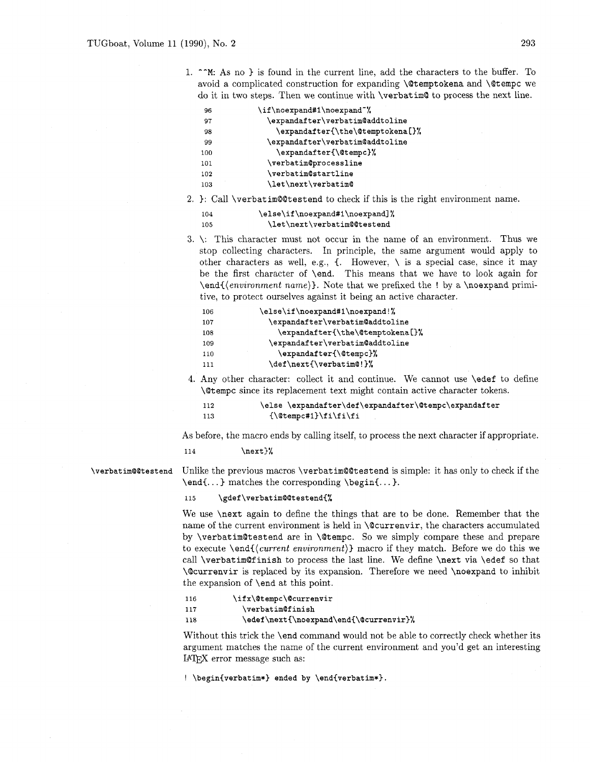1. **--M:** As no 3 is found in the current line, add the characters to the buffer. To avoid a complicated construction for expanding **\Qtemptokena** and **\Qtempc** we do it in two steps. Then we continue with **\verbat imQ** to process the next line.

| 96  | \if\noexpand#1\noexpand~%        |
|-----|----------------------------------|
| 97  | \expandafter\verbatim@addtoline  |
| 98  | \expandafter{\the\@temptokena[}% |
| 99  | \expandafter\verbatim@addtoline  |
| 100 | \expandafter{\@tempc}%           |
| 101 | \verbatim@processline            |
| 102 | <b>\verbatim@startline</b>       |
| 103 | \let\next\verbatim@              |

2. 3: Call **\verbatimQQtestend** to check if this is the right environment name.

| 104 | \else\if\noexpand#1\noexpand]% |
|-----|--------------------------------|
| 105 | \let\next\verbatim@@testend    |

**3.** \: This character must not occur in the name of an environment. Thus we stop collecting characters. In principle, the same argument would apply to other characters as well, e.g.,  $\{$ . However,  $\setminus$  is a special case, since it may be the first character of **\end.** This means that we have to look again for **\end((envzronrnent name)).** Note that we prefixed the ! by a **\noexpand** primitive, to protect ourselves against it being an active character.

| 106 | \else\if\noexpand#1\noexpand!%   |  |
|-----|----------------------------------|--|
| 107 | \expandafter\verbatim@addtoline  |  |
| 108 | \expandafter{\the\@temptokena[}% |  |
| 109 | \expandafter\verbatim@addtoline  |  |
| 110 | \expandafter{\@tempc}%           |  |
| 111 | \def\next{\verbatim@!}%          |  |

4. Any other character: collect it and continue. We cannot use **\edef** to define **\Qtempc** since its replacement text might contain active character tokens.

| 112 | \else \expandafter\def\expandafter\@tempc\expandafter |
|-----|-------------------------------------------------------|
| 113 | ${\text{}\t{$                                         |

As before, the macro ends by calling itself, to process the next character if appropriate.

**114 \next)%** 

**\verbatimQ@testend** Unlike the previous macros **\verbatimQQtestend** is simple: it has only to check if the **\end{.** . . **1** matches the corresponding **\begin{.** . . 3.

> 115 \gdef\verbatim@@testend{%

We use **\next** again to define the things that are to be done. Remember that the name of the current environment is held in **\@currenvir,** the characters accumulated by **\verbatimQtestend** are in **\Qtempc.** So we simply compare these and prepare to execute **\end{(current environment))** macro if they match. Before we do this we call **\verbatimQfinish** to process the last line. We define **\next** via **\edef** so that **\Qcurrenvir** is replaced **by** its expansion. Therefore we need **\noexpand** to inhibit the expansion of **\end** at this point.

\ifx\@tempc\@currenvir 116 117 \verbatim@finish 118 \edef\next{\noexpand\end{\@currenvir}%

Without this trick the **\end** command would not be able to correctly check whether its argument matches the name of the current environment and you'd get an interesting LAT<sub>E</sub>X error message such as:

! **\begin{verbatim\*) ended by \end{verbatim\*).**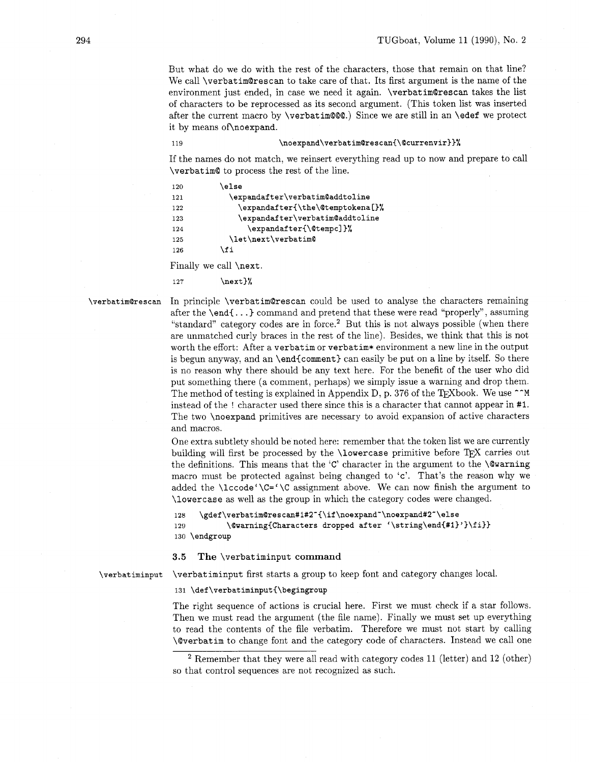But what do we do with the rest of the characters, those that remain on that line? We call \verbatim@rescan to take care of that. Its first argument is the name of the environment just ended, in case we need it again. \verbatim@rescan takes the list of characters to be reprocessed as its second argument. (This token list was inserted after the current macro by \verbat im@Q@.) Since we are still in an \edef we protect it by means of\noexpand.

119

### \noexpand\verbatim@rescan{\@currenvir}}%

If the names do not match, we reinsert everything read up to now and prepare to call \verbatim@ to process the rest of the line.

```
120\else
121
             \expandafter\verbatim@addtoline
               \expandafter{\the\@temptokena[}%
122
123
                \expandafter\verbatim@addtoline
                  \expandafter{\@tempc]}%
124
125
             \let\next\verbatim@
           \fi
126
```
Finally we call \next.

\next}% 127

\verbatim@rescan In principle \verbatimQrescan could be used to analyse the characters remaining after the  $\end{math}$  command and pretend that these were read "properly", assuming "standard" category codes are in force.<sup>2</sup> But this is not always possible (when there are unmatched curly braces in the rest of the line). Besides, we think that this is not worth the effort: After a verbatim or verbatim\* environment a new line in the output is begun anyway, and an \end(comment) can easily be put on a line by itself. So there is no reason why there should be any text here. For the benefit of the user who did put something there (a comment, perhaps) we simply issue a warning and drop them. The method of testing is explained in Appendix D, p. 376 of the T<sub>F</sub>Xbook. We use  $\sim M$ instead of the ! character used there since this is a character that cannot appear in #I. The two \noexpand primitives are necessary to avoid expansion of active characters and macros.

> One extra subtlety should be noted here: remember that the token list we are currently building will first be processed by the \lowercase primitive before TEX carries out the definitions. This means that the 'C' character in the argument to the  $\sqrt{\alpha}$  arning macro must be protected against being changed to 'c'. That's the reason why we added the  $\lvert \csc(\zeta) \rvert \rvert$  assignment above. We can now finish the argument to \lowercase as well as the group in which the category codes were changed.

```
128 \gdef\verbatim@rescan#1#2<sup>-</sup>{\if\noexpand<sup>-</sup>\noexpand#2<sup>-</sup>\else
129 \@warning{Characters dropped after '\string\end{#1}'}\fi}}
130 \endgroup
```
3.5 **The** \verbatiminput command

\verbatiminput \verbatiminput first starts a group to keep font and category changes local.

131 \def\verbatiminput{\begingroup

The right sequence of actions is crucial here. First we must check if a star follows. Then we must read the argument (the file name). Finally we must set up everything to read the contents of the file verbatim. Therefore we must not start by calling \@verbatim to change font and the category code of characters. Instead we call one

<sup>&</sup>lt;sup>2</sup> Remember that they were all read with category codes 11 (letter) and 12 (other) so that control sequences are not recognized as such.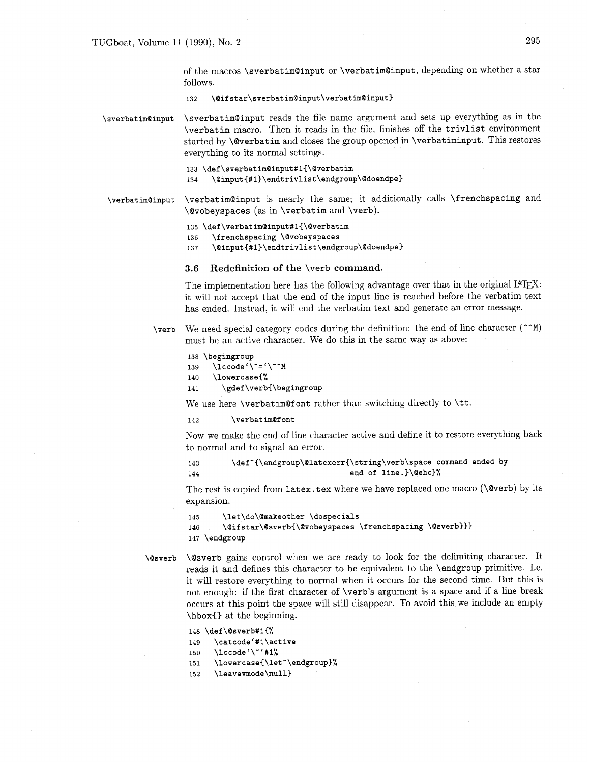of the macros \sverbatim@input or \verbatimOinput, depending on whether a star follows.

**132 \Qifstar\sverbatimQinput\verbatimQinput)** 

\sverbatim@input

\sverbatim@input reads the file name argument and sets up everything as in the \verbatim macro. Then it reads in the file, finishes off the trivlist environment started by \@verbatim and closes the group opened in \verbatiminput. This restores everything to its normal settings.

133 \def\sverbatim@input#1{\@verbatim \@input{#1}\endtrivlist\endgroup\@doendpe} 134

\verbatim@input is nearly the same; it additionally calls \frenchspacing and \verbatim@input \@vobeyspaces (as in \verbatim and \verb).

135 \def\verbatim@input#1{\@verbatim

\frenchspacing \@vobeyspaces 136

\@input{#1}\endtrivlist\endgroup\@doendpe} 137

### **3.6 Redefinition of the** \verb **command.**

The implementation here has the following advantage over that in the original IATFX: it will not accept that the end of the input line is reached before the verbatim text has ended. Instead, it will end the verbatim text and generate an error message.

\verb We need special category codes during the definition: the end of line character  $(\uparrow \uparrow M)$ must be an active character. We do this in the same way as above:

```
138 \begingroup
      \lvert \ldots \rvert139
      \lowercase{%
140
141
        \gdef\verb{\begingroup
```
We use here \verbatimQfont rather than switching directly to \tt.

**142 \verbat imQf ont** 

Now we make the end of line character active and define it to restore everything back to normal and to signal an error.

**143 \def-{\endgroup\Qlatexerr(\string\verb\space command ended by 144 end of line.)\Qehc)%** 

The rest is copied from latex. tex where we have replaced one macro ( $\Diamond$ verb) by its expansion.

```
\let\do\@makeother \dospecials
145
       \@ifstar\@sverb{\@vobeyspaces \frenchspacing \@sverb}}}
146
147 \endgroup
```
\@sverb

\@sverb gains control when we are ready to look for the delimiting character. It reads it and defines this character to be equivalent to the \endgroup primitive. 1.e. it will restore everything to normal when it occurs for the second time. But this is not enough: if the first character of \verb's argument is a space and if a line break occurs at this point the space will still disappear. To avoid this we include an empty \hboxC) at the beginning.

```
148 \def\@sverb#1{%
```
- \catcode'#1\active 149
- \lccode'\"'#1% 150
- 151 \lowercase{\let"\endgroup}%
- \leavevmode\null} 152